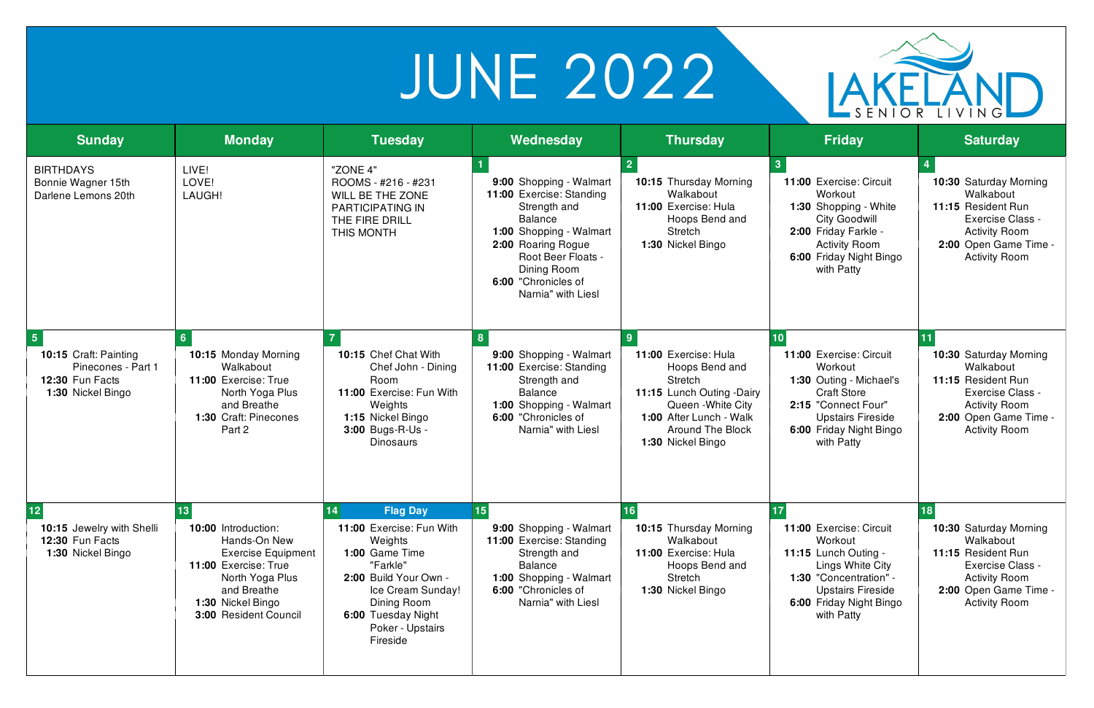## **JUNE 2022**

| <b>Sunday</b>                                                                                         | <b>Monday</b>                                                                                                                                                                  | <b>Tuesday</b>                                                                                                                                                                                                 | Wednesday                                                                                                                                                                                                                       | <b>Thursday</b>                                                                                                                                                                 | <b>Friday</b>                                                                                                                                                                   | <b>Saturday</b>                                                                                                                                               |
|-------------------------------------------------------------------------------------------------------|--------------------------------------------------------------------------------------------------------------------------------------------------------------------------------|----------------------------------------------------------------------------------------------------------------------------------------------------------------------------------------------------------------|---------------------------------------------------------------------------------------------------------------------------------------------------------------------------------------------------------------------------------|---------------------------------------------------------------------------------------------------------------------------------------------------------------------------------|---------------------------------------------------------------------------------------------------------------------------------------------------------------------------------|---------------------------------------------------------------------------------------------------------------------------------------------------------------|
| <b>BIRTHDAYS</b><br>Bonnie Wagner 15th<br>Darlene Lemons 20th                                         | LIVE!<br>LOVE!<br>LAUGH!                                                                                                                                                       | "ZONE 4"<br>ROOMS - #216 - #231<br><b>WILL BE THE ZONE</b><br>PARTICIPATING IN<br>THE FIRE DRILL<br><b>THIS MONTH</b>                                                                                          | 9:00 Shopping - Walmart<br>11:00 Exercise: Standing<br>Strength and<br><b>Balance</b><br>1:00 Shopping - Walmart<br>2:00 Roaring Rogue<br><b>Root Beer Floats -</b><br>Dining Room<br>6:00 "Chronicles of<br>Narnia" with Liesl | 10:15 Thursday Morning<br>Walkabout<br>11:00 Exercise: Hula<br>Hoops Bend and<br>Stretch<br>1:30 Nickel Bingo                                                                   | 11:00 Exercise: Circuit<br>Workout<br>1:30 Shopping - White<br><b>City Goodwill</b><br>2:00 Friday Farkle -<br><b>Activity Room</b><br>6:00 Friday Night Bingo<br>with Patty    | 10:30 Saturday Morning<br>Walkabout<br>11:15 Resident Run<br><b>Exercise Class -</b><br><b>Activity Room</b><br>2:00 Open Game Time -<br><b>Activity Room</b> |
| $5\phantom{1}$<br>10:15 Craft: Painting<br>Pinecones - Part 1<br>12:30 Fun Facts<br>1:30 Nickel Bingo | 10:15 Monday Morning<br>Walkabout<br>11:00 Exercise: True<br>North Yoga Plus<br>and Breathe<br>1:30 Craft: Pinecones<br>Part <sub>2</sub>                                      | 10:15 Chef Chat With<br>Chef John - Dining<br>Room<br>11:00 Exercise: Fun With<br>Weights<br>1:15 Nickel Bingo<br>3:00 Bugs-R-Us -<br><b>Dinosaurs</b>                                                         | 9:00 Shopping - Walmart<br>11:00 Exercise: Standing<br>Strength and<br><b>Balance</b><br>1:00 Shopping - Walmart<br>6:00 "Chronicles of<br>Narnia" with Liesl                                                                   | 11:00 Exercise: Hula<br>Hoops Bend and<br>Stretch<br>11:15 Lunch Outing -Dairy<br>Queen - White City<br>1:00 After Lunch - Walk<br><b>Around The Block</b><br>1:30 Nickel Bingo | 11:00 Exercise: Circuit<br>Workout<br>1:30 Outing - Michael's<br><b>Craft Store</b><br>2:15 "Connect Four"<br><b>Upstairs Fireside</b><br>6:00 Friday Night Bingo<br>with Patty | 10:30 Saturday Morning<br>Walkabout<br>11:15 Resident Run<br><b>Exercise Class -</b><br><b>Activity Room</b><br>2:00 Open Game Time -<br><b>Activity Room</b> |
| 12 <br>10:15 Jewelry with Shelli<br>12:30 Fun Facts<br>1:30 Nickel Bingo                              | 13<br>10:00 Introduction:<br>Hands-On New<br><b>Exercise Equipment</b><br>11:00 Exercise: True<br>North Yoga Plus<br>and Breathe<br>1:30 Nickel Bingo<br>3:00 Resident Council | <b>Flag Day</b><br>14 <br>11:00 Exercise: Fun With<br>Weights<br>1:00 Game Time<br>"Farkle"<br>2:00 Build Your Own -<br>Ice Cream Sunday!<br>Dining Room<br>6:00 Tuesday Night<br>Poker - Upstairs<br>Fireside | 9:00 Shopping - Walmart<br>11:00 Exercise: Standing<br>Strength and<br><b>Balance</b><br>1:00 Shopping - Walmart<br>6:00 "Chronicles of<br>Narnia" with Liesl                                                                   | 16<br>10:15 Thursday Morning<br>Walkabout<br>11:00 Exercise: Hula<br>Hoops Bend and<br>Stretch<br>1:30 Nickel Bingo                                                             | 11:00 Exercise: Circuit<br>Workout<br>11:15 Lunch Outing -<br>Lings White City<br>1:30 "Concentration" -<br><b>Upstairs Fireside</b><br>6:00 Friday Night Bingo<br>with Patty   | 10:30 Saturday Morning<br>Walkabout<br>11:15 Resident Run<br><b>Exercise Class -</b><br><b>Activity Room</b><br>2:00 Open Game Time -<br><b>Activity Room</b> |